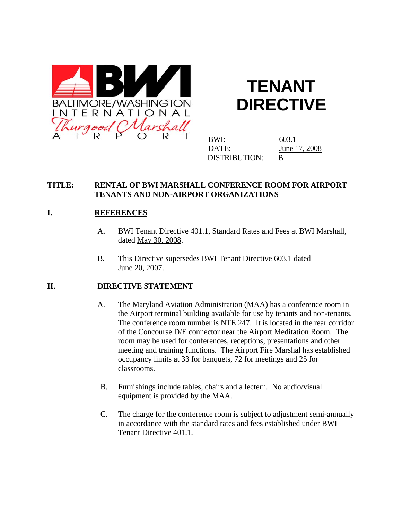

# **TENANT DIRECTIVE**

BWI: 603.1 DATE: June 17, 2008 DISTRIBUTION: B

#### **TITLE: RENTAL OF BWI MARSHALL CONFERENCE ROOM FOR AIRPORT TENANTS AND NON-AIRPORT ORGANIZATIONS**

## **I. REFERENCES**

- A**.** BWI Tenant Directive 401.1, Standard Rates and Fees at BWI Marshall, dated May 30, 2008.
- B. This Directive supersedes BWI Tenant Directive 603.1 dated June 20, 2007.

#### **II. DIRECTIVE STATEMENT**

- A. The Maryland Aviation Administration (MAA) has a conference room in the Airport terminal building available for use by tenants and non-tenants. The conference room number is NTE 247. It is located in the rear corridor of the Concourse D/E connector near the Airport Meditation Room. The room may be used for conferences, receptions, presentations and other meeting and training functions. The Airport Fire Marshal has established occupancy limits at 33 for banquets, 72 for meetings and 25 for classrooms.
- B. Furnishings include tables, chairs and a lectern. No audio/visual equipment is provided by the MAA.
- C. The charge for the conference room is subject to adjustment semi-annually in accordance with the standard rates and fees established under BWI Tenant Directive 401.1.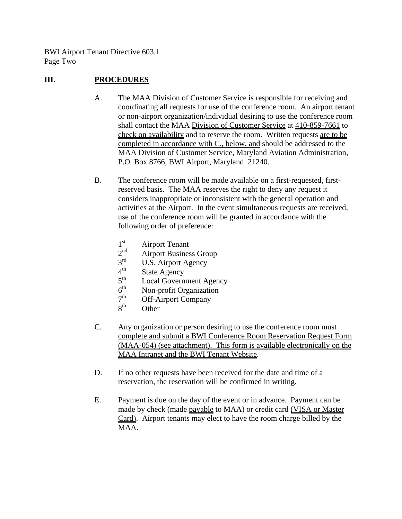BWI Airport Tenant Directive 603.1 Page Two

### **III. PROCEDURES**

- A. The MAA Division of Customer Service is responsible for receiving and coordinating all requests for use of the conference room. An airport tenant or non-airport organization/individual desiring to use the conference room shall contact the MAA Division of Customer Service at 410-859-7661 to check on availability and to reserve the room. Written requests are to be completed in accordance with C., below, and should be addressed to the MAA Division of Customer Service, Maryland Aviation Administration, P.O. Box 8766, BWI Airport, Maryland 21240.
- B. The conference room will be made available on a first-requested, firstreserved basis. The MAA reserves the right to deny any request it considers inappropriate or inconsistent with the general operation and activities at the Airport. In the event simultaneous requests are received, use of the conference room will be granted in accordance with the following order of preference:
	- $1<sup>st</sup>$  Airport Tenant<br>  $2<sup>nd</sup>$  Airport Busines
	- $2<sup>nd</sup>$  Airport Business Group<br> $3<sup>rd</sup>$  IIS Airport Acopay
	- $3<sup>rd</sup>$  U.S. Airport Agency<br>  $4<sup>th</sup>$  State Agency
	- $4<sup>th</sup>$  State Agency<br> $5<sup>th</sup>$  Local Govern
	- $5<sup>th</sup>$  Local Government Agency<br> $6<sup>th</sup>$  Non-profit Organization
	- $6<sup>th</sup>$  Non-profit Organization<br>  $7<sup>th</sup>$  Off-Airport Company
	- $7<sup>th</sup>$  Off-Airport Company<br> $8<sup>th</sup>$  Other
	- **Other**
- C. Any organization or person desiring to use the conference room must complete and submit a BWI Conference Room Reservation Request Form (MAA-054) (see attachment). This form is available electronically on the MAA Intranet and the BWI Tenant Website.
- D. If no other requests have been received for the date and time of a reservation, the reservation will be confirmed in writing.
- E. Payment is due on the day of the event or in advance. Payment can be made by check (made payable to MAA) or credit card (VISA or Master Card). Airport tenants may elect to have the room charge billed by the MAA.